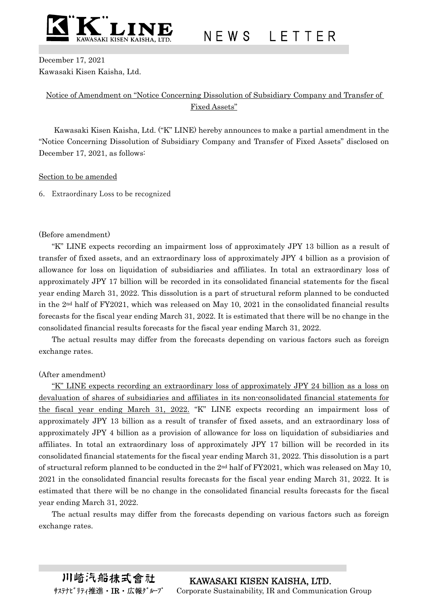

N E W S L E T T E R

December 17, 2021 Kawasaki Kisen Kaisha, Ltd.

## Notice of Amendment on "Notice Concerning Dissolution of Subsidiary Company and Transfer of Fixed Assets"

Kawasaki Kisen Kaisha, Ltd. ("K" LINE) hereby announces to make a partial amendment in the "Notice Concerning Dissolution of Subsidiary Company and Transfer of Fixed Assets" disclosed on December 17, 2021, as follows:

#### Section to be amended

6. Extraordinary Loss to be recognized

#### (Before amendment)

"K" LINE expects recording an impairment loss of approximately JPY 13 billion as a result of transfer of fixed assets, and an extraordinary loss of approximately JPY 4 billion as a provision of allowance for loss on liquidation of subsidiaries and affiliates. In total an extraordinary loss of approximately JPY 17 billion will be recorded in its consolidated financial statements for the fiscal year ending March 31, 2022. This dissolution is a part of structural reform planned to be conducted in the 2nd half of FY2021, which was released on May 10, 2021 in the consolidated financial results forecasts for the fiscal year ending March 31, 2022. It is estimated that there will be no change in the consolidated financial results forecasts for the fiscal year ending March 31, 2022.

The actual results may differ from the forecasts depending on various factors such as foreign exchange rates.

### (After amendment)

"K" LINE expects recording an extraordinary loss of approximately JPY 24 billion as a loss on devaluation of shares of subsidiaries and affiliates in its non-consolidated financial statements for the fiscal year ending March 31, 2022. "K" LINE expects recording an impairment loss of approximately JPY 13 billion as a result of transfer of fixed assets, and an extraordinary loss of approximately JPY 4 billion as a provision of allowance for loss on liquidation of subsidiaries and affiliates. In total an extraordinary loss of approximately JPY 17 billion will be recorded in its consolidated financial statements for the fiscal year ending March 31, 2022. This dissolution is a part of structural reform planned to be conducted in the  $2<sup>nd</sup>$  half of FY2021, which was released on May 10, 2021 in the consolidated financial results forecasts for the fiscal year ending March 31, 2022. It is estimated that there will be no change in the consolidated financial results forecasts for the fiscal year ending March 31, 2022.

The actual results may differ from the forecasts depending on various factors such as foreign exchange rates.